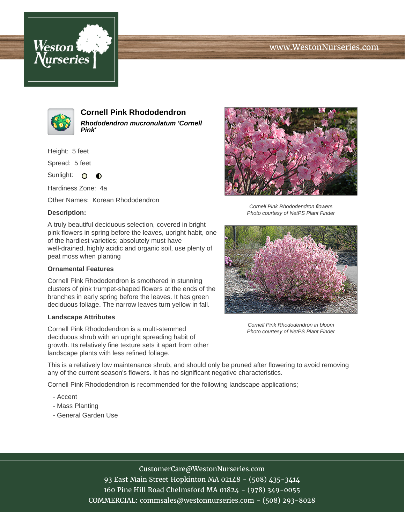## www.WestonNurseries.com





**Cornell Pink Rhododendron Rhododendron mucronulatum 'Cornell Pink'**

Height: 5 feet

Spread: 5 feet

Sunlight: O **O** 

Hardiness Zone: 4a

Other Names: Korean Rhododendron

#### **Description:**

A truly beautiful deciduous selection, covered in bright pink flowers in spring before the leaves, upright habit, one of the hardiest varieties; absolutely must have well-drained, highly acidic and organic soil, use plenty of peat moss when planting

#### **Ornamental Features**

Cornell Pink Rhododendron is smothered in stunning clusters of pink trumpet-shaped flowers at the ends of the branches in early spring before the leaves. It has green deciduous foliage. The narrow leaves turn yellow in fall.

#### **Landscape Attributes**

Cornell Pink Rhododendron is a multi-stemmed deciduous shrub with an upright spreading habit of growth. Its relatively fine texture sets it apart from other landscape plants with less refined foliage.



Cornell Pink Rhododendron flowers Photo courtesy of NetPS Plant Finder



Cornell Pink Rhododendron in bloom Photo courtesy of NetPS Plant Finder

This is a relatively low maintenance shrub, and should only be pruned after flowering to avoid removing any of the current season's flowers. It has no significant negative characteristics.

Cornell Pink Rhododendron is recommended for the following landscape applications;

- Accent
- Mass Planting
- General Garden Use

# CustomerCare@WestonNurseries.com

93 East Main Street Hopkinton MA 02148 - (508) 435-3414 160 Pine Hill Road Chelmsford MA 01824 - (978) 349-0055 COMMERCIAL: commsales@westonnurseries.com - (508) 293-8028